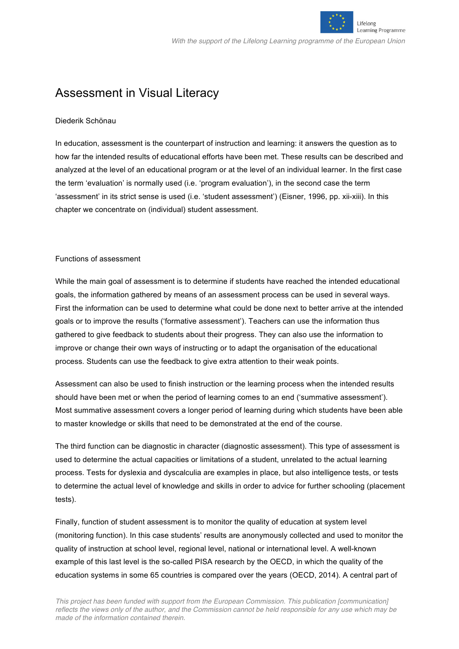

# Assessment in Visual Literacy

# Diederik Schönau

In education, assessment is the counterpart of instruction and learning: it answers the question as to how far the intended results of educational efforts have been met. These results can be described and analyzed at the level of an educational program or at the level of an individual learner. In the first case the term 'evaluation' is normally used (i.e. 'program evaluation'), in the second case the term 'assessment' in its strict sense is used (i.e. 'student assessment') (Eisner, 1996, pp. xii-xiii). In this chapter we concentrate on (individual) student assessment.

# Functions of assessment

While the main goal of assessment is to determine if students have reached the intended educational goals, the information gathered by means of an assessment process can be used in several ways. First the information can be used to determine what could be done next to better arrive at the intended goals or to improve the results ('formative assessment'). Teachers can use the information thus gathered to give feedback to students about their progress. They can also use the information to improve or change their own ways of instructing or to adapt the organisation of the educational process. Students can use the feedback to give extra attention to their weak points.

Assessment can also be used to finish instruction or the learning process when the intended results should have been met or when the period of learning comes to an end ('summative assessment'). Most summative assessment covers a longer period of learning during which students have been able to master knowledge or skills that need to be demonstrated at the end of the course.

The third function can be diagnostic in character (diagnostic assessment). This type of assessment is used to determine the actual capacities or limitations of a student, unrelated to the actual learning process. Tests for dyslexia and dyscalculia are examples in place, but also intelligence tests, or tests to determine the actual level of knowledge and skills in order to advice for further schooling (placement tests).

Finally, function of student assessment is to monitor the quality of education at system level (monitoring function). In this case students' results are anonymously collected and used to monitor the quality of instruction at school level, regional level, national or international level. A well-known example of this last level is the so-called PISA research by the OECD, in which the quality of the education systems in some 65 countries is compared over the years (OECD, 2014). A central part of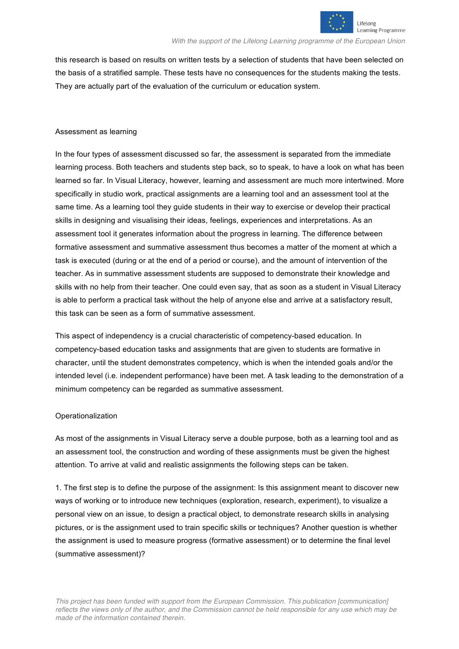

this research is based on results on written tests by a selection of students that have been selected on the basis of a stratified sample. These tests have no consequences for the students making the tests. They are actually part of the evaluation of the curriculum or education system.

# Assessment as learning

In the four types of assessment discussed so far, the assessment is separated from the immediate learning process. Both teachers and students step back, so to speak, to have a look on what has been learned so far. In Visual Literacy, however, learning and assessment are much more intertwined. More specifically in studio work, practical assignments are a learning tool and an assessment tool at the same time. As a learning tool they guide students in their way to exercise or develop their practical skills in designing and visualising their ideas, feelings, experiences and interpretations. As an assessment tool it generates information about the progress in learning. The difference between formative assessment and summative assessment thus becomes a matter of the moment at which a task is executed (during or at the end of a period or course), and the amount of intervention of the teacher. As in summative assessment students are supposed to demonstrate their knowledge and skills with no help from their teacher. One could even say, that as soon as a student in Visual Literacy is able to perform a practical task without the help of anyone else and arrive at a satisfactory result, this task can be seen as a form of summative assessment.

This aspect of independency is a crucial characteristic of competency-based education. In competency-based education tasks and assignments that are given to students are formative in character, until the student demonstrates competency, which is when the intended goals and/or the intended level (i.e. independent performance) have been met. A task leading to the demonstration of a minimum competency can be regarded as summative assessment.

## **Operationalization**

As most of the assignments in Visual Literacy serve a double purpose, both as a learning tool and as an assessment tool, the construction and wording of these assignments must be given the highest attention. To arrive at valid and realistic assignments the following steps can be taken.

1. The first step is to define the purpose of the assignment: Is this assignment meant to discover new ways of working or to introduce new techniques (exploration, research, experiment), to visualize a personal view on an issue, to design a practical object, to demonstrate research skills in analysing pictures, or is the assignment used to train specific skills or techniques? Another question is whether the assignment is used to measure progress (formative assessment) or to determine the final level (summative assessment)?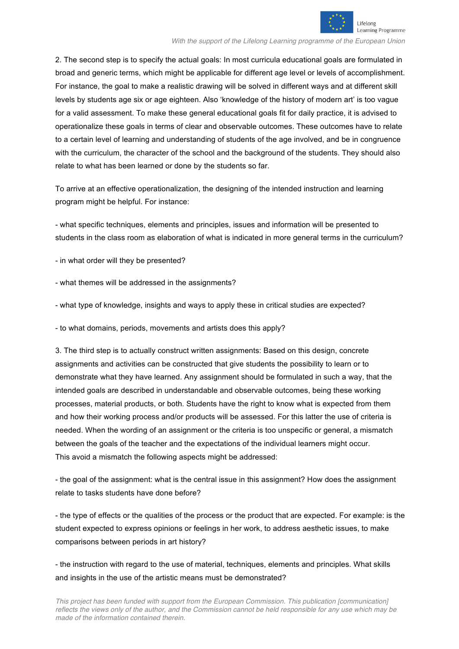

2. The second step is to specify the actual goals: In most curricula educational goals are formulated in broad and generic terms, which might be applicable for different age level or levels of accomplishment. For instance, the goal to make a realistic drawing will be solved in different ways and at different skill levels by students age six or age eighteen. Also 'knowledge of the history of modern art' is too vague for a valid assessment. To make these general educational goals fit for daily practice, it is advised to operationalize these goals in terms of clear and observable outcomes. These outcomes have to relate to a certain level of learning and understanding of students of the age involved, and be in congruence with the curriculum, the character of the school and the background of the students. They should also relate to what has been learned or done by the students so far.

To arrive at an effective operationalization, the designing of the intended instruction and learning program might be helpful. For instance:

- what specific techniques, elements and principles, issues and information will be presented to students in the class room as elaboration of what is indicated in more general terms in the curriculum?

- in what order will they be presented?

- what themes will be addressed in the assignments?

- what type of knowledge, insights and ways to apply these in critical studies are expected?

- to what domains, periods, movements and artists does this apply?

3. The third step is to actually construct written assignments: Based on this design, concrete assignments and activities can be constructed that give students the possibility to learn or to demonstrate what they have learned. Any assignment should be formulated in such a way, that the intended goals are described in understandable and observable outcomes, being these working processes, material products, or both. Students have the right to know what is expected from them and how their working process and/or products will be assessed. For this latter the use of criteria is needed. When the wording of an assignment or the criteria is too unspecific or general, a mismatch between the goals of the teacher and the expectations of the individual learners might occur. This avoid a mismatch the following aspects might be addressed:

- the goal of the assignment: what is the central issue in this assignment? How does the assignment relate to tasks students have done before?

- the type of effects or the qualities of the process or the product that are expected. For example: is the student expected to express opinions or feelings in her work, to address aesthetic issues, to make comparisons between periods in art history?

- the instruction with regard to the use of material, techniques, elements and principles. What skills and insights in the use of the artistic means must be demonstrated?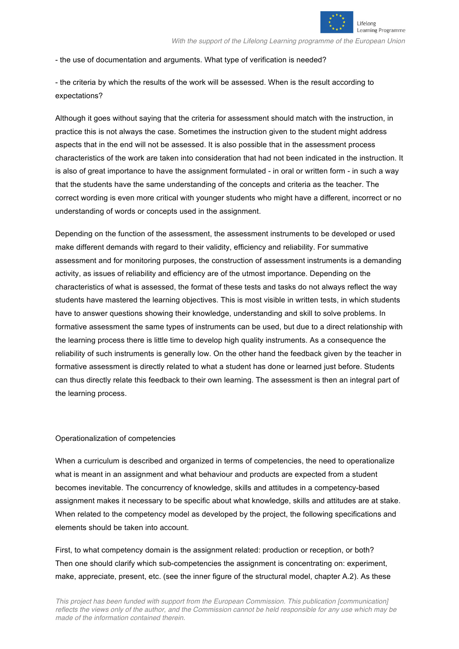

- the use of documentation and arguments. What type of verification is needed?

- the criteria by which the results of the work will be assessed. When is the result according to expectations?

Although it goes without saying that the criteria for assessment should match with the instruction, in practice this is not always the case. Sometimes the instruction given to the student might address aspects that in the end will not be assessed. It is also possible that in the assessment process characteristics of the work are taken into consideration that had not been indicated in the instruction. It is also of great importance to have the assignment formulated - in oral or written form - in such a way that the students have the same understanding of the concepts and criteria as the teacher. The correct wording is even more critical with younger students who might have a different, incorrect or no understanding of words or concepts used in the assignment.

Depending on the function of the assessment, the assessment instruments to be developed or used make different demands with regard to their validity, efficiency and reliability. For summative assessment and for monitoring purposes, the construction of assessment instruments is a demanding activity, as issues of reliability and efficiency are of the utmost importance. Depending on the characteristics of what is assessed, the format of these tests and tasks do not always reflect the way students have mastered the learning objectives. This is most visible in written tests, in which students have to answer questions showing their knowledge, understanding and skill to solve problems. In formative assessment the same types of instruments can be used, but due to a direct relationship with the learning process there is little time to develop high quality instruments. As a consequence the reliability of such instruments is generally low. On the other hand the feedback given by the teacher in formative assessment is directly related to what a student has done or learned just before. Students can thus directly relate this feedback to their own learning. The assessment is then an integral part of the learning process.

# Operationalization of competencies

When a curriculum is described and organized in terms of competencies, the need to operationalize what is meant in an assignment and what behaviour and products are expected from a student becomes inevitable. The concurrency of knowledge, skills and attitudes in a competency-based assignment makes it necessary to be specific about what knowledge, skills and attitudes are at stake. When related to the competency model as developed by the project, the following specifications and elements should be taken into account.

First, to what competency domain is the assignment related: production or reception, or both? Then one should clarify which sub-competencies the assignment is concentrating on: experiment, make, appreciate, present, etc. (see the inner figure of the structural model, chapter A.2). As these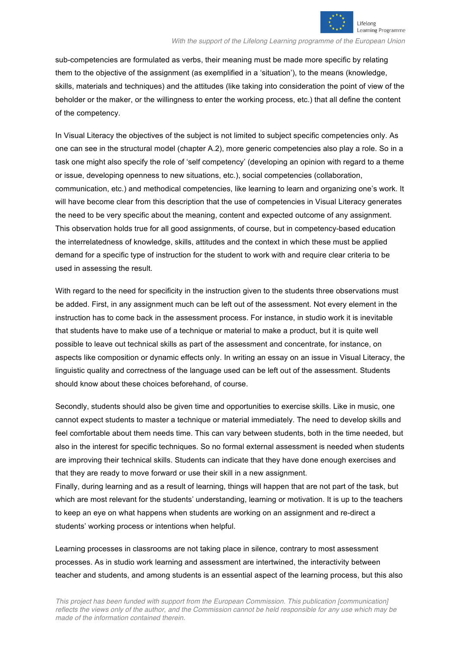

sub-competencies are formulated as verbs, their meaning must be made more specific by relating them to the objective of the assignment (as exemplified in a 'situation'), to the means (knowledge, skills, materials and techniques) and the attitudes (like taking into consideration the point of view of the beholder or the maker, or the willingness to enter the working process, etc.) that all define the content of the competency.

In Visual Literacy the objectives of the subject is not limited to subject specific competencies only. As one can see in the structural model (chapter A.2), more generic competencies also play a role. So in a task one might also specify the role of 'self competency' (developing an opinion with regard to a theme or issue, developing openness to new situations, etc.), social competencies (collaboration, communication, etc.) and methodical competencies, like learning to learn and organizing one's work. It will have become clear from this description that the use of competencies in Visual Literacy generates the need to be very specific about the meaning, content and expected outcome of any assignment. This observation holds true for all good assignments, of course, but in competency-based education the interrelatedness of knowledge, skills, attitudes and the context in which these must be applied demand for a specific type of instruction for the student to work with and require clear criteria to be used in assessing the result.

With regard to the need for specificity in the instruction given to the students three observations must be added. First, in any assignment much can be left out of the assessment. Not every element in the instruction has to come back in the assessment process. For instance, in studio work it is inevitable that students have to make use of a technique or material to make a product, but it is quite well possible to leave out technical skills as part of the assessment and concentrate, for instance, on aspects like composition or dynamic effects only. In writing an essay on an issue in Visual Literacy, the linguistic quality and correctness of the language used can be left out of the assessment. Students should know about these choices beforehand, of course.

Secondly, students should also be given time and opportunities to exercise skills. Like in music, one cannot expect students to master a technique or material immediately. The need to develop skills and feel comfortable about them needs time. This can vary between students, both in the time needed, but also in the interest for specific techniques. So no formal external assessment is needed when students are improving their technical skills. Students can indicate that they have done enough exercises and that they are ready to move forward or use their skill in a new assignment.

Finally, during learning and as a result of learning, things will happen that are not part of the task, but which are most relevant for the students' understanding, learning or motivation. It is up to the teachers to keep an eye on what happens when students are working on an assignment and re-direct a students' working process or intentions when helpful.

Learning processes in classrooms are not taking place in silence, contrary to most assessment processes. As in studio work learning and assessment are intertwined, the interactivity between teacher and students, and among students is an essential aspect of the learning process, but this also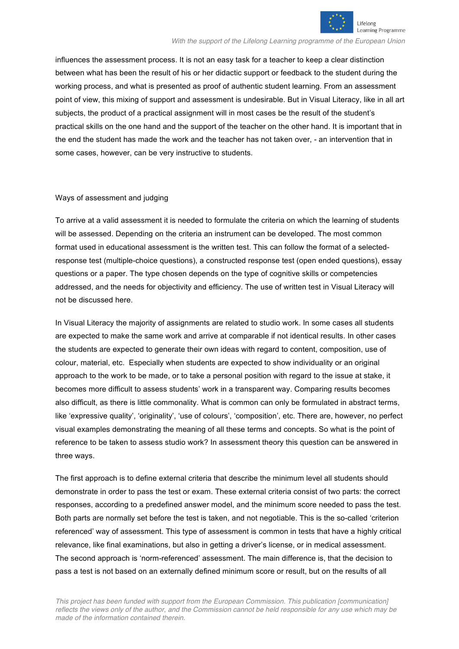

influences the assessment process. It is not an easy task for a teacher to keep a clear distinction between what has been the result of his or her didactic support or feedback to the student during the working process, and what is presented as proof of authentic student learning. From an assessment point of view, this mixing of support and assessment is undesirable. But in Visual Literacy, like in all art subjects, the product of a practical assignment will in most cases be the result of the student's practical skills on the one hand and the support of the teacher on the other hand. It is important that in the end the student has made the work and the teacher has not taken over, - an intervention that in some cases, however, can be very instructive to students.

## Ways of assessment and judging

To arrive at a valid assessment it is needed to formulate the criteria on which the learning of students will be assessed. Depending on the criteria an instrument can be developed. The most common format used in educational assessment is the written test. This can follow the format of a selectedresponse test (multiple-choice questions), a constructed response test (open ended questions), essay questions or a paper. The type chosen depends on the type of cognitive skills or competencies addressed, and the needs for objectivity and efficiency. The use of written test in Visual Literacy will not be discussed here.

In Visual Literacy the majority of assignments are related to studio work. In some cases all students are expected to make the same work and arrive at comparable if not identical results. In other cases the students are expected to generate their own ideas with regard to content, composition, use of colour, material, etc. Especially when students are expected to show individuality or an original approach to the work to be made, or to take a personal position with regard to the issue at stake, it becomes more difficult to assess students' work in a transparent way. Comparing results becomes also difficult, as there is little commonality. What is common can only be formulated in abstract terms, like 'expressive quality', 'originality', 'use of colours', 'composition', etc. There are, however, no perfect visual examples demonstrating the meaning of all these terms and concepts. So what is the point of reference to be taken to assess studio work? In assessment theory this question can be answered in three ways.

The first approach is to define external criteria that describe the minimum level all students should demonstrate in order to pass the test or exam. These external criteria consist of two parts: the correct responses, according to a predefined answer model, and the minimum score needed to pass the test. Both parts are normally set before the test is taken, and not negotiable. This is the so-called 'criterion referenced' way of assessment. This type of assessment is common in tests that have a highly critical relevance, like final examinations, but also in getting a driver's license, or in medical assessment. The second approach is 'norm-referenced' assessment. The main difference is, that the decision to pass a test is not based on an externally defined minimum score or result, but on the results of all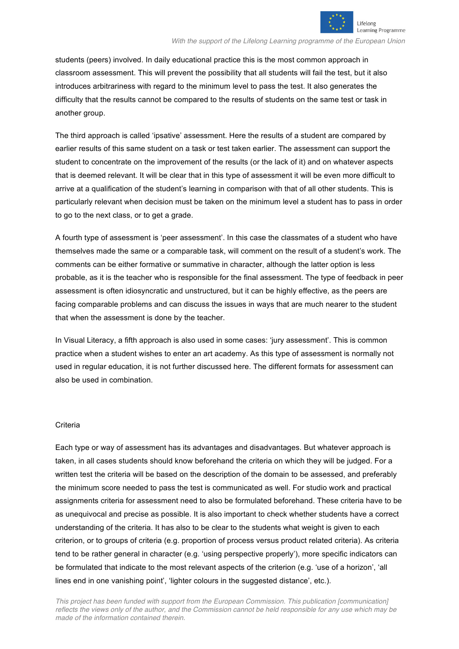

students (peers) involved. In daily educational practice this is the most common approach in classroom assessment. This will prevent the possibility that all students will fail the test, but it also introduces arbitrariness with regard to the minimum level to pass the test. It also generates the difficulty that the results cannot be compared to the results of students on the same test or task in another group.

The third approach is called 'ipsative' assessment. Here the results of a student are compared by earlier results of this same student on a task or test taken earlier. The assessment can support the student to concentrate on the improvement of the results (or the lack of it) and on whatever aspects that is deemed relevant. It will be clear that in this type of assessment it will be even more difficult to arrive at a qualification of the student's learning in comparison with that of all other students. This is particularly relevant when decision must be taken on the minimum level a student has to pass in order to go to the next class, or to get a grade.

A fourth type of assessment is 'peer assessment'. In this case the classmates of a student who have themselves made the same or a comparable task, will comment on the result of a student's work. The comments can be either formative or summative in character, although the latter option is less probable, as it is the teacher who is responsible for the final assessment. The type of feedback in peer assessment is often idiosyncratic and unstructured, but it can be highly effective, as the peers are facing comparable problems and can discuss the issues in ways that are much nearer to the student that when the assessment is done by the teacher.

In Visual Literacy, a fifth approach is also used in some cases: 'jury assessment'. This is common practice when a student wishes to enter an art academy. As this type of assessment is normally not used in regular education, it is not further discussed here. The different formats for assessment can also be used in combination.

## **Criteria**

Each type or way of assessment has its advantages and disadvantages. But whatever approach is taken, in all cases students should know beforehand the criteria on which they will be judged. For a written test the criteria will be based on the description of the domain to be assessed, and preferably the minimum score needed to pass the test is communicated as well. For studio work and practical assignments criteria for assessment need to also be formulated beforehand. These criteria have to be as unequivocal and precise as possible. It is also important to check whether students have a correct understanding of the criteria. It has also to be clear to the students what weight is given to each criterion, or to groups of criteria (e.g. proportion of process versus product related criteria). As criteria tend to be rather general in character (e.g. 'using perspective properly'), more specific indicators can be formulated that indicate to the most relevant aspects of the criterion (e.g. 'use of a horizon', 'all lines end in one vanishing point', 'lighter colours in the suggested distance', etc.).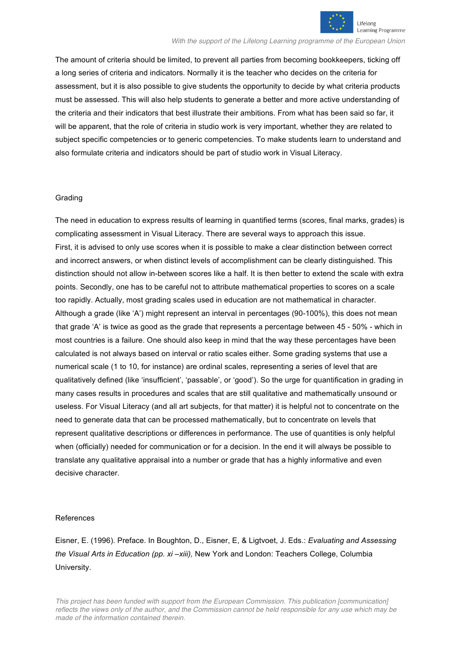

The amount of criteria should be limited, to prevent all parties from becoming bookkeepers, ticking off a long series of criteria and indicators. Normally it is the teacher who decides on the criteria for assessment, but it is also possible to give students the opportunity to decide by what criteria products must be assessed. This will also help students to generate a better and more active understanding of the criteria and their indicators that best illustrate their ambitions. From what has been said so far, it will be apparent, that the role of criteria in studio work is very important, whether they are related to subject specific competencies or to generic competencies. To make students learn to understand and also formulate criteria and indicators should be part of studio work in Visual Literacy.

## Grading

The need in education to express results of learning in quantified terms (scores, final marks, grades) is complicating assessment in Visual Literacy. There are several ways to approach this issue. First, it is advised to only use scores when it is possible to make a clear distinction between correct and incorrect answers, or when distinct levels of accomplishment can be clearly distinguished. This distinction should not allow in-between scores like a half. It is then better to extend the scale with extra points. Secondly, one has to be careful not to attribute mathematical properties to scores on a scale too rapidly. Actually, most grading scales used in education are not mathematical in character. Although a grade (like 'A') might represent an interval in percentages (90-100%), this does not mean that grade 'A' is twice as good as the grade that represents a percentage between 45 - 50% - which in most countries is a failure. One should also keep in mind that the way these percentages have been calculated is not always based on interval or ratio scales either. Some grading systems that use a numerical scale (1 to 10, for instance) are ordinal scales, representing a series of level that are qualitatively defined (like 'insufficient', 'passable', or 'good'). So the urge for quantification in grading in many cases results in procedures and scales that are still qualitative and mathematically unsound or useless. For Visual Literacy (and all art subjects, for that matter) it is helpful not to concentrate on the need to generate data that can be processed mathematically, but to concentrate on levels that represent qualitative descriptions or differences in performance. The use of quantities is only helpful when (officially) needed for communication or for a decision. In the end it will always be possible to translate any qualitative appraisal into a number or grade that has a highly informative and even decisive character.

## References

Eisner, E. (1996). Preface. In Boughton, D., Eisner, E, & Ligtvoet, J. Eds.: *Evaluating and Assessing the Visual Arts in Education (pp. xi –xiii),* New York and London: Teachers College, Columbia University.